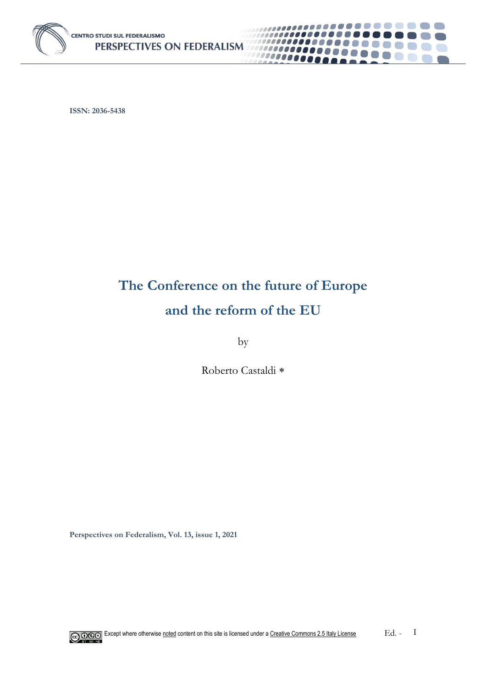

**ISSN: 2036-5438**

# **The Conference on the future of Europe and the reform of the EU**

\_\_\_\_\_\_\_**\_**\_

0000

 $\mathbb{R}^n$ 

.......

C J

,,,,,,,,,,

1000000000

10000000

by

Roberto Castaldi

**Perspectives on Federalism, Vol. 13, issue 1, 2021**

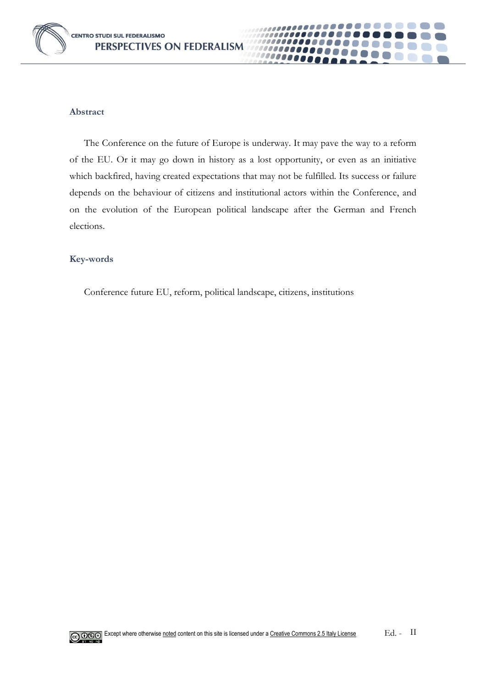

#### **Abstract**

The Conference on the future of Europe is underway. It may pave the way to a reform of the EU. Or it may go down in history as a lost opportunity, or even as an initiative which backfired, having created expectations that may not be fulfilled. Its success or failure depends on the behaviour of citizens and institutional actors within the Conference, and on the evolution of the European political landscape after the German and French elections.

1100000 *PODOD* 

#### **Key-words**

Conference future EU, reform, political landscape, citizens, institutions

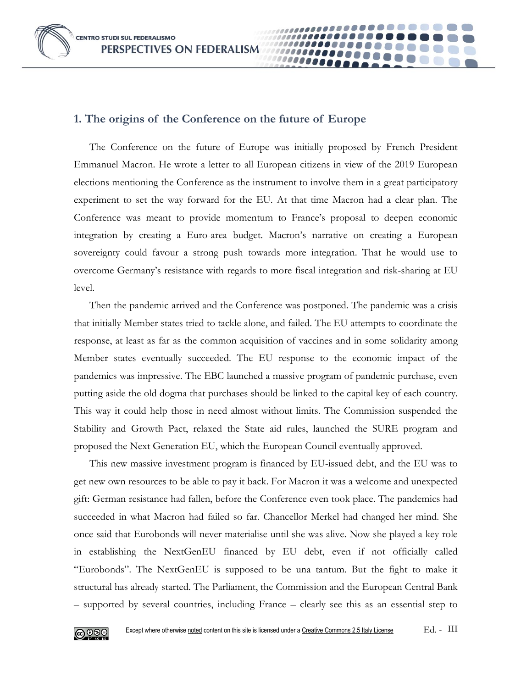**CENTRO STUDI SUL FEDERALISMO** PERSPECTIVES ON FEDERALISM

## **1. The origins of the Conference on the future of Europe**

The Conference on the future of Europe was initially proposed by French President Emmanuel Macron. He wrote a letter to all European citizens in view of the 2019 European elections mentioning the Conference as the instrument to involve them in a great participatory experiment to set the way forward for the EU. At that time Macron had a clear plan. The Conference was meant to provide momentum to France's proposal to deepen economic integration by creating a Euro-area budget. Macron's narrative on creating a European sovereignty could favour a strong push towards more integration. That he would use to overcome Germany's resistance with regards to more fiscal integration and risk-sharing at EU level.

Then the pandemic arrived and the Conference was postponed. The pandemic was a crisis that initially Member states tried to tackle alone, and failed. The EU attempts to coordinate the response, at least as far as the common acquisition of vaccines and in some solidarity among Member states eventually succeeded. The EU response to the economic impact of the pandemics was impressive. The EBC launched a massive program of pandemic purchase, even putting aside the old dogma that purchases should be linked to the capital key of each country. This way it could help those in need almost without limits. The Commission suspended the Stability and Growth Pact, relaxed the State aid rules, launched the SURE program and proposed the Next Generation EU, which the European Council eventually approved.

This new massive investment program is financed by EU-issued debt, and the EU was to get new own resources to be able to pay it back. For Macron it was a welcome and unexpected gift: German resistance had fallen, before the Conference even took place. The pandemics had succeeded in what Macron had failed so far. Chancellor Merkel had changed her mind. She once said that Eurobonds will never materialise until she was alive. Now she played a key role in establishing the NextGenEU financed by EU debt, even if not officially called "Eurobonds". The NextGenEU is supposed to be una tantum. But the fight to make it structural has already started. The Parliament, the Commission and the European Central Bank – supported by several countries, including France – clearly see this as an essential step to

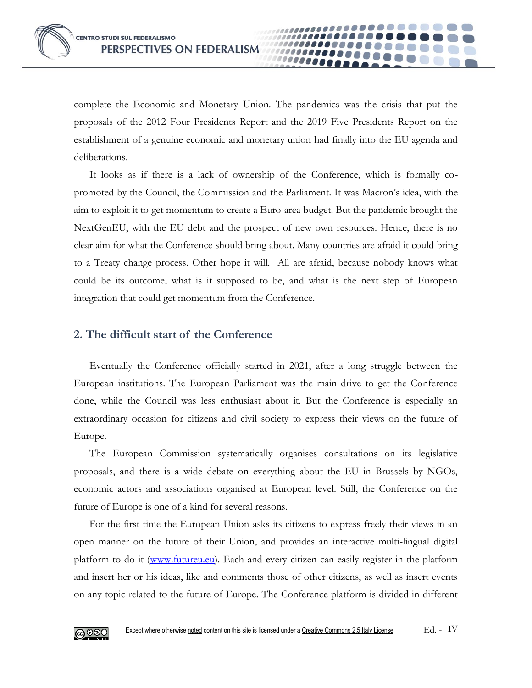complete the Economic and Monetary Union. The pandemics was the crisis that put the proposals of the 2012 Four Presidents Report and the 2019 Five Presidents Report on the establishment of a genuine economic and monetary union had finally into the EU agenda and deliberations.

It looks as if there is a lack of ownership of the Conference, which is formally copromoted by the Council, the Commission and the Parliament. It was Macron's idea, with the aim to exploit it to get momentum to create a Euro-area budget. But the pandemic brought the NextGenEU, with the EU debt and the prospect of new own resources. Hence, there is no clear aim for what the Conference should bring about. Many countries are afraid it could bring to a Treaty change process. Other hope it will. All are afraid, because nobody knows what could be its outcome, what is it supposed to be, and what is the next step of European integration that could get momentum from the Conference.

## **2. The difficult start of the Conference**

Eventually the Conference officially started in 2021, after a long struggle between the European institutions. The European Parliament was the main drive to get the Conference done, while the Council was less enthusiast about it. But the Conference is especially an extraordinary occasion for citizens and civil society to express their views on the future of Europe.

The European Commission systematically organises consultations on its legislative proposals, and there is a wide debate on everything about the EU in Brussels by NGOs, economic actors and associations organised at European level. Still, the Conference on the future of Europe is one of a kind for several reasons.

For the first time the European Union asks its citizens to express freely their views in an open manner on the future of their Union, and provides an interactive multi-lingual digital platform to do it [\(www.futureu.eu\)](http://www.futureu.eu/). Each and every citizen can easily register in the platform and insert her or his ideas, like and comments those of other citizens, as well as insert events on any topic related to the future of Europe. The Conference platform is divided in different

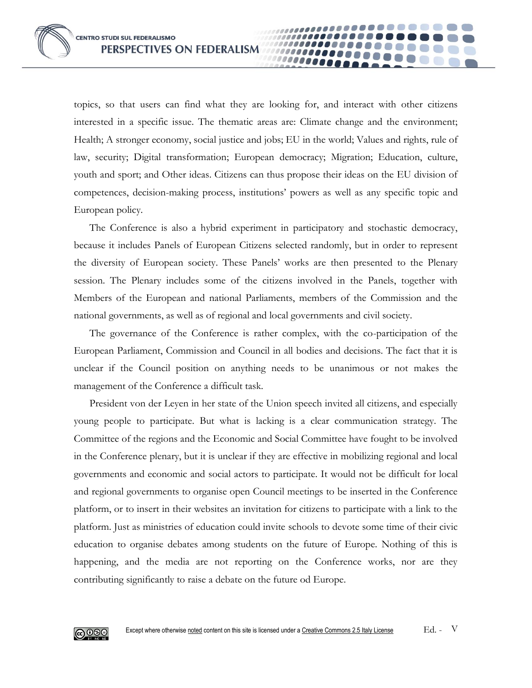topics, so that users can find what they are looking for, and interact with other citizens interested in a specific issue. The thematic areas are: Climate change and the environment; Health; A stronger economy, social justice and jobs; EU in the world; Values and rights, rule of law, security; Digital transformation; European democracy; Migration; Education, culture, youth and sport; and Other ideas. Citizens can thus propose their ideas on the EU division of competences, decision-making process, institutions' powers as well as any specific topic and European policy.

10000e

The Conference is also a hybrid experiment in participatory and stochastic democracy, because it includes Panels of European Citizens selected randomly, but in order to represent the diversity of European society. These Panels' works are then presented to the Plenary session. The Plenary includes some of the citizens involved in the Panels, together with Members of the European and national Parliaments, members of the Commission and the national governments, as well as of regional and local governments and civil society.

The governance of the Conference is rather complex, with the co-participation of the European Parliament, Commission and Council in all bodies and decisions. The fact that it is unclear if the Council position on anything needs to be unanimous or not makes the management of the Conference a difficult task.

President von der Leyen in her state of the Union speech invited all citizens, and especially young people to participate. But what is lacking is a clear communication strategy. The Committee of the regions and the Economic and Social Committee have fought to be involved in the Conference plenary, but it is unclear if they are effective in mobilizing regional and local governments and economic and social actors to participate. It would not be difficult for local and regional governments to organise open Council meetings to be inserted in the Conference platform, or to insert in their websites an invitation for citizens to participate with a link to the platform. Just as ministries of education could invite schools to devote some time of their civic education to organise debates among students on the future of Europe. Nothing of this is happening, and the media are not reporting on the Conference works, nor are they contributing significantly to raise a debate on the future od Europe.

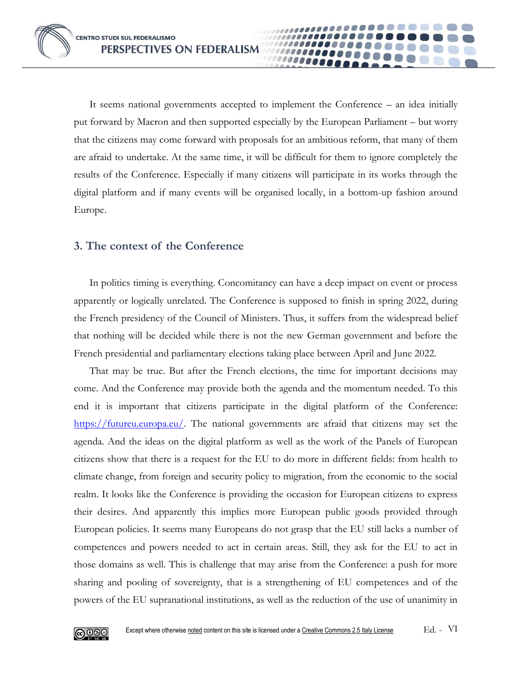It seems national governments accepted to implement the Conference – an idea initially put forward by Macron and then supported especially by the European Parliament – but worry that the citizens may come forward with proposals for an ambitious reform, that many of them are afraid to undertake. At the same time, it will be difficult for them to ignore completely the results of the Conference. Especially if many citizens will participate in its works through the digital platform and if many events will be organised locally, in a bottom-up fashion around Europe.

## **3. The context of the Conference**

In politics timing is everything. Concomitancy can have a deep impact on event or process apparently or logically unrelated. The Conference is supposed to finish in spring 2022, during the French presidency of the Council of Ministers. Thus, it suffers from the widespread belief that nothing will be decided while there is not the new German government and before the French presidential and parliamentary elections taking place between April and June 2022.

That may be true. But after the French elections, the time for important decisions may come. And the Conference may provide both the agenda and the momentum needed. To this end it is important that citizens participate in the digital platform of the Conference: [https://futureu.europa.eu/.](https://futureu.europa.eu/) The national governments are afraid that citizens may set the agenda. And the ideas on the digital platform as well as the work of the Panels of European citizens show that there is a request for the EU to do more in different fields: from health to climate change, from foreign and security policy to migration, from the economic to the social realm. It looks like the Conference is providing the occasion for European citizens to express their desires. And apparently this implies more European public goods provided through European policies. It seems many Europeans do not grasp that the EU still lacks a number of competences and powers needed to act in certain areas. Still, they ask for the EU to act in those domains as well. This is challenge that may arise from the Conference: a push for more sharing and pooling of sovereignty, that is a strengthening of EU competences and of the powers of the EU supranational institutions, as well as the reduction of the use of unanimity in